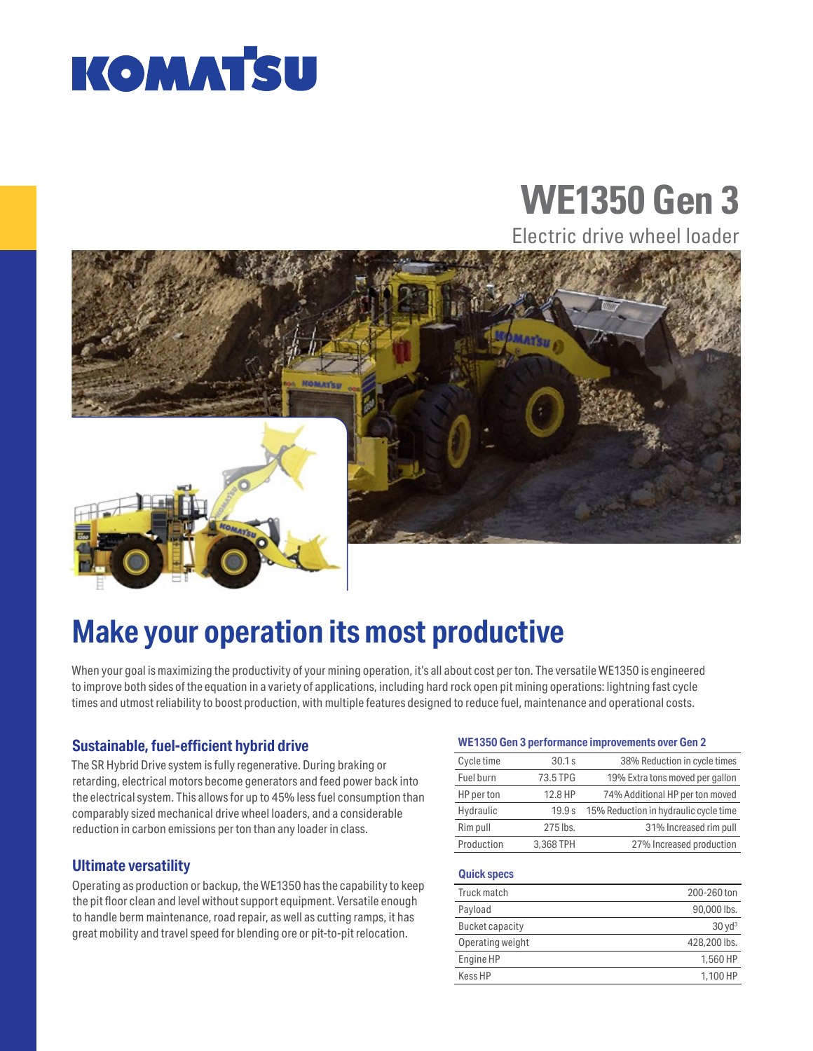

# **WE1350 Gen 3**

Electric drive wheel loader



## **Make your operation its most productive**

When your goal is maximizing the productivity of your mining operation, it's all about cost per ton. The versatile WE1350 is engineered to improve both sides of the equation in a variety of applications, including hard rock open pit mining operations: lightning fast cycle times and utmost reliability to boost production, with multiple features designed to reduce fuel, maintenance and operational costs.

### **Sustainable, fuel-efficient hybrid drive**

The SR Hybrid Drive system is fully regenerative. During braking or retarding, electrical motors become generators and feed power back into the electrical system. This allows for up to 45% less fuel consumption than comparably sized mechanical drive wheel loaders, and a considerable reduction in carbon emissions per ton than any loader in class.

### **Ultimate versatility**

Operating as production or backup, the WE1350 has the capability to keep the pit floor clean and level without support equipment. Versatile enough to handle berm maintenance, road repair, as well as cutting ramps, it has great mobility and travel speed for blending ore or pit-to-pit relocation.

#### **WE1350 Gen 3 performance improvements over Gen 2**

| Cycle time | 30.1 s    | 38% Reduction in cycle times          |
|------------|-----------|---------------------------------------|
| Fuel burn  | 73.5 TPG  | 19% Extra tons moved per gallon       |
| HP per ton | 12.8 HP   | 74% Additional HP per ton moved       |
| Hydraulic  | 19.9 s    | 15% Reduction in hydraulic cycle time |
| Rim pull   | 275 lbs.  | 31% Increased rim pull                |
| Production | 3.368 TPH | 27% Increased production              |

#### **Quick specs**

| Truck match      | 200-260 ton       |
|------------------|-------------------|
| Payload          | 90,000 lbs.       |
| Bucket capacity  | $30 \text{ yd}^3$ |
| Operating weight | 428,200 lbs.      |
| Engine HP        | 1.560 HP          |
| Kess HP          | 1.100 HP          |